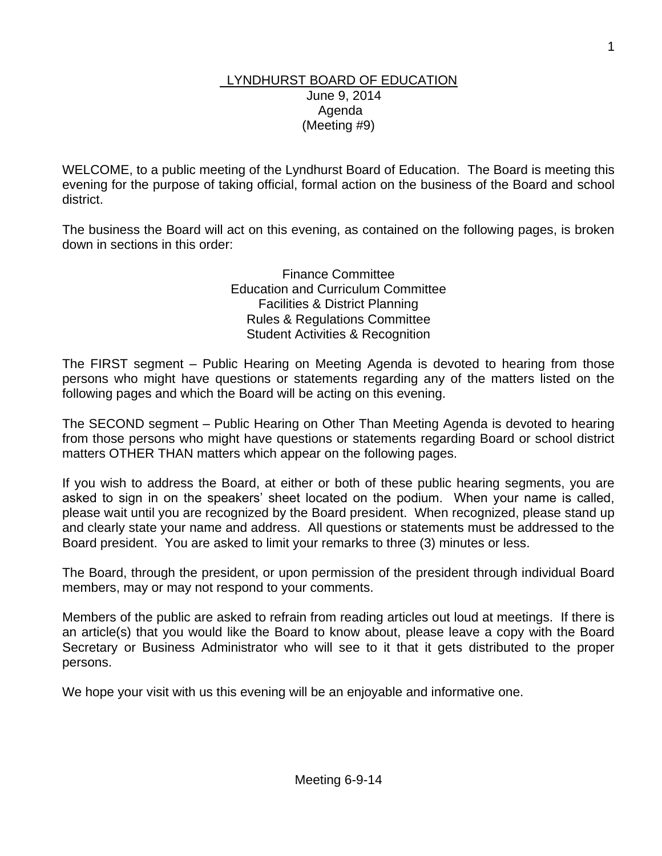#### LYNDHURST BOARD OF EDUCATION June 9, 2014 Agenda (Meeting #9)

WELCOME, to a public meeting of the Lyndhurst Board of Education. The Board is meeting this evening for the purpose of taking official, formal action on the business of the Board and school district.

The business the Board will act on this evening, as contained on the following pages, is broken down in sections in this order:

> Finance Committee Education and Curriculum Committee Facilities & District Planning Rules & Regulations Committee Student Activities & Recognition

The FIRST segment – Public Hearing on Meeting Agenda is devoted to hearing from those persons who might have questions or statements regarding any of the matters listed on the following pages and which the Board will be acting on this evening.

The SECOND segment – Public Hearing on Other Than Meeting Agenda is devoted to hearing from those persons who might have questions or statements regarding Board or school district matters OTHER THAN matters which appear on the following pages.

If you wish to address the Board, at either or both of these public hearing segments, you are asked to sign in on the speakers' sheet located on the podium. When your name is called, please wait until you are recognized by the Board president. When recognized, please stand up and clearly state your name and address. All questions or statements must be addressed to the Board president. You are asked to limit your remarks to three (3) minutes or less.

The Board, through the president, or upon permission of the president through individual Board members, may or may not respond to your comments.

Members of the public are asked to refrain from reading articles out loud at meetings. If there is an article(s) that you would like the Board to know about, please leave a copy with the Board Secretary or Business Administrator who will see to it that it gets distributed to the proper persons.

We hope your visit with us this evening will be an enjoyable and informative one.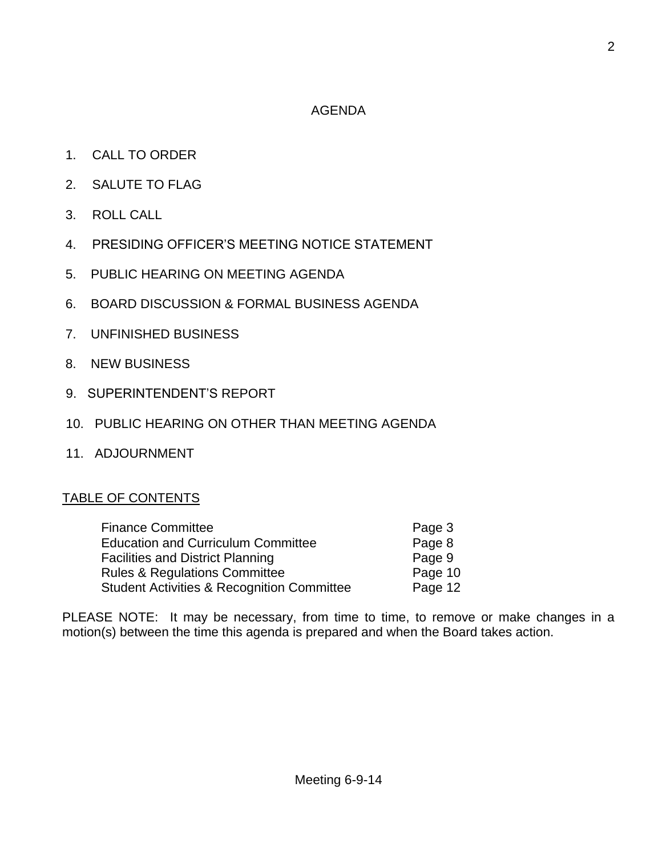## AGENDA

- 1. CALL TO ORDER
- 2. SALUTE TO FLAG
- 3. ROLL CALL
- 4. PRESIDING OFFICER'S MEETING NOTICE STATEMENT
- 5. PUBLIC HEARING ON MEETING AGENDA
- 6. BOARD DISCUSSION & FORMAL BUSINESS AGENDA
- 7. UNFINISHED BUSINESS
- 8. NEW BUSINESS
- 9. SUPERINTENDENT'S REPORT
- 10. PUBLIC HEARING ON OTHER THAN MEETING AGENDA
- 11. ADJOURNMENT

## TABLE OF CONTENTS

| <b>Finance Committee</b>                              | Page 3  |
|-------------------------------------------------------|---------|
| <b>Education and Curriculum Committee</b>             | Page 8  |
| <b>Facilities and District Planning</b>               | Page 9  |
| <b>Rules &amp; Regulations Committee</b>              | Page 10 |
| <b>Student Activities &amp; Recognition Committee</b> | Page 12 |

PLEASE NOTE: It may be necessary, from time to time, to remove or make changes in a motion(s) between the time this agenda is prepared and when the Board takes action.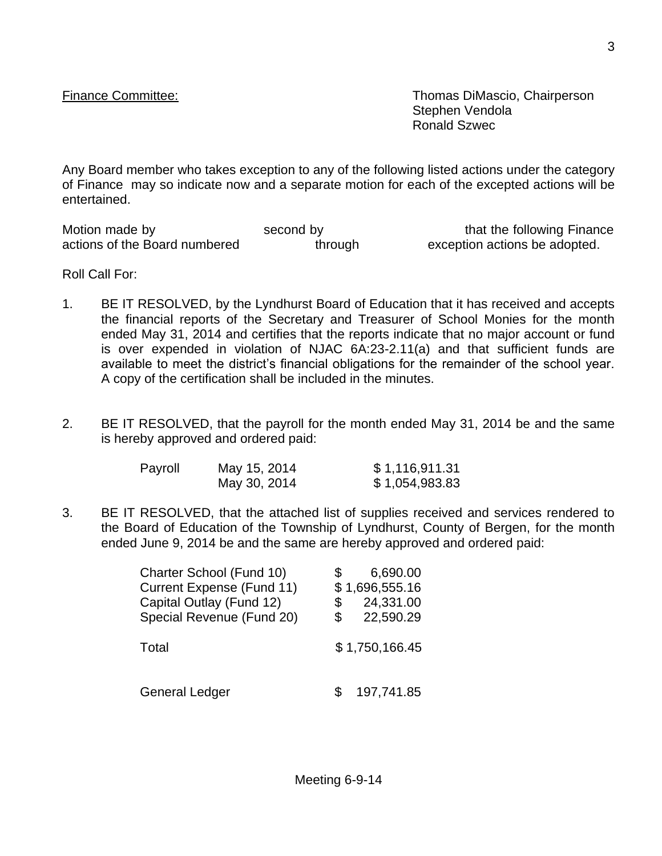Finance Committee: Thomas DiMascio, Chairperson Stephen Vendola Ronald Szwec

Any Board member who takes exception to any of the following listed actions under the category of Finance may so indicate now and a separate motion for each of the excepted actions will be entertained.

Motion made by second by second by that the following Finance<br>actions of the Board numbered through exception actions be adopted. actions of the Board numbered through exception actions be adopted.

Roll Call For:

- 1. BE IT RESOLVED, by the Lyndhurst Board of Education that it has received and accepts the financial reports of the Secretary and Treasurer of School Monies for the month ended May 31, 2014 and certifies that the reports indicate that no major account or fund is over expended in violation of NJAC 6A:23-2.11(a) and that sufficient funds are available to meet the district's financial obligations for the remainder of the school year. A copy of the certification shall be included in the minutes.
- 2. BE IT RESOLVED, that the payroll for the month ended May 31, 2014 be and the same is hereby approved and ordered paid:

| Payroll | May 15, 2014 | \$1,116,911.31 |
|---------|--------------|----------------|
|         | May 30, 2014 | \$1,054,983.83 |

3. BE IT RESOLVED, that the attached list of supplies received and services rendered to the Board of Education of the Township of Lyndhurst, County of Bergen, for the month ended June 9, 2014 be and the same are hereby approved and ordered paid:

| Charter School (Fund 10)<br>Current Expense (Fund 11)<br>Capital Outlay (Fund 12)<br>Special Revenue (Fund 20) | 6,690.00<br>\$<br>\$1,696,555.16<br>24,331.00<br>\$<br>22,590.29<br>\$. |
|----------------------------------------------------------------------------------------------------------------|-------------------------------------------------------------------------|
| Total                                                                                                          | \$1,750,166.45                                                          |
| <b>General Ledger</b>                                                                                          | 197,741.85                                                              |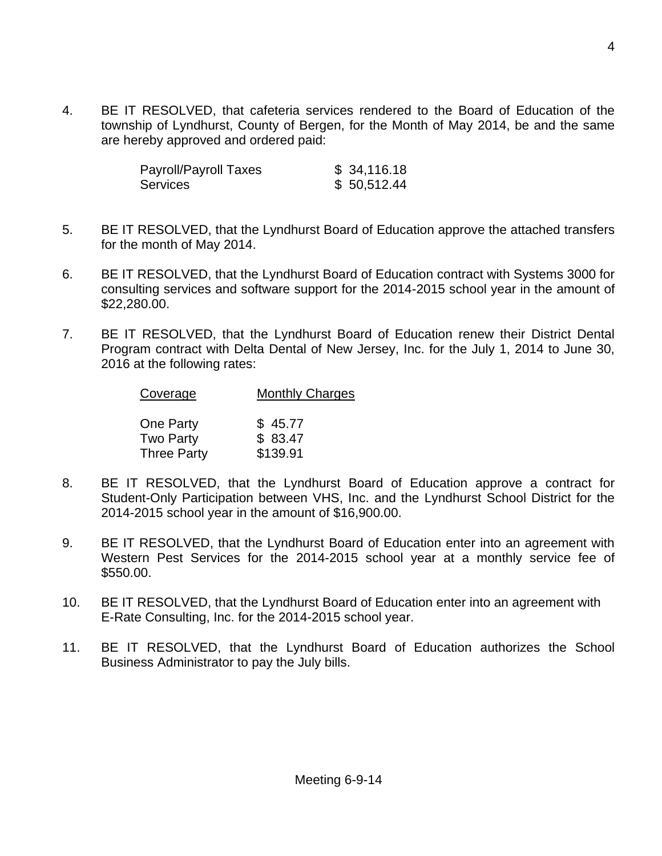4. BE IT RESOLVED, that cafeteria services rendered to the Board of Education of the township of Lyndhurst, County of Bergen, for the Month of May 2014, be and the same are hereby approved and ordered paid:

| Payroll/Payroll Taxes | \$34,116.18 |
|-----------------------|-------------|
| Services              | \$50,512.44 |

- 5. BE IT RESOLVED, that the Lyndhurst Board of Education approve the attached transfers for the month of May 2014.
- 6. BE IT RESOLVED, that the Lyndhurst Board of Education contract with Systems 3000 for consulting services and software support for the 2014-2015 school year in the amount of \$22,280.00.
- 7. BE IT RESOLVED, that the Lyndhurst Board of Education renew their District Dental Program contract with Delta Dental of New Jersey, Inc. for the July 1, 2014 to June 30, 2016 at the following rates:

| Coverage           | <b>Monthly Charges</b> |
|--------------------|------------------------|
|                    |                        |
| One Party          | \$45.77                |
| <b>Two Party</b>   | \$83.47                |
| <b>Three Party</b> | \$139.91               |

- 8. BE IT RESOLVED, that the Lyndhurst Board of Education approve a contract for Student-Only Participation between VHS, Inc. and the Lyndhurst School District for the 2014-2015 school year in the amount of \$16,900.00.
- 9. BE IT RESOLVED, that the Lyndhurst Board of Education enter into an agreement with Western Pest Services for the 2014-2015 school year at a monthly service fee of \$550.00.
- 10. BE IT RESOLVED, that the Lyndhurst Board of Education enter into an agreement with E-Rate Consulting, Inc. for the 2014-2015 school year.
- 11. BE IT RESOLVED, that the Lyndhurst Board of Education authorizes the School Business Administrator to pay the July bills.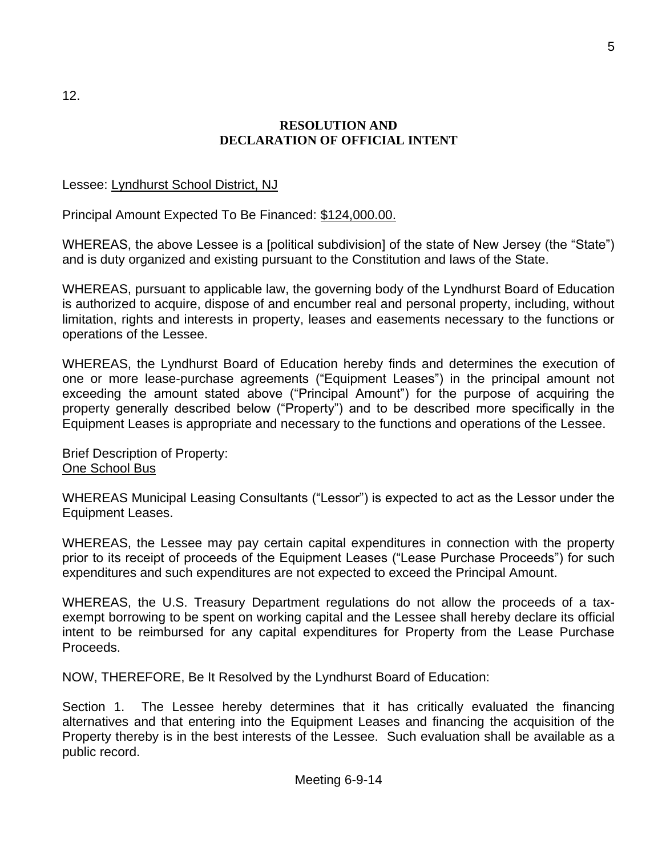#### **RESOLUTION AND DECLARATION OF OFFICIAL INTENT**

Lessee: Lyndhurst School District, NJ

Principal Amount Expected To Be Financed: \$124,000.00.

WHEREAS, the above Lessee is a [political subdivision] of the state of New Jersey (the "State") and is duty organized and existing pursuant to the Constitution and laws of the State.

WHEREAS, pursuant to applicable law, the governing body of the Lyndhurst Board of Education is authorized to acquire, dispose of and encumber real and personal property, including, without limitation, rights and interests in property, leases and easements necessary to the functions or operations of the Lessee.

WHEREAS, the Lyndhurst Board of Education hereby finds and determines the execution of one or more lease-purchase agreements ("Equipment Leases") in the principal amount not exceeding the amount stated above ("Principal Amount") for the purpose of acquiring the property generally described below ("Property") and to be described more specifically in the Equipment Leases is appropriate and necessary to the functions and operations of the Lessee.

Brief Description of Property: One School Bus

WHEREAS Municipal Leasing Consultants ("Lessor") is expected to act as the Lessor under the Equipment Leases.

WHEREAS, the Lessee may pay certain capital expenditures in connection with the property prior to its receipt of proceeds of the Equipment Leases ("Lease Purchase Proceeds") for such expenditures and such expenditures are not expected to exceed the Principal Amount.

WHEREAS, the U.S. Treasury Department regulations do not allow the proceeds of a taxexempt borrowing to be spent on working capital and the Lessee shall hereby declare its official intent to be reimbursed for any capital expenditures for Property from the Lease Purchase Proceeds.

NOW, THEREFORE, Be It Resolved by the Lyndhurst Board of Education:

Section 1. The Lessee hereby determines that it has critically evaluated the financing alternatives and that entering into the Equipment Leases and financing the acquisition of the Property thereby is in the best interests of the Lessee. Such evaluation shall be available as a public record.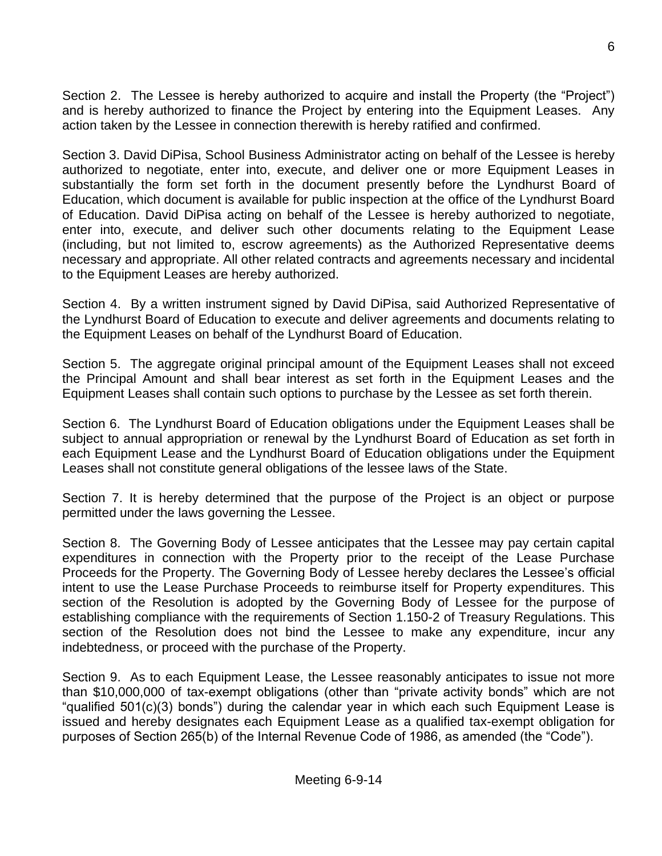Section 2. The Lessee is hereby authorized to acquire and install the Property (the "Project") and is hereby authorized to finance the Project by entering into the Equipment Leases. Any action taken by the Lessee in connection therewith is hereby ratified and confirmed.

Section 3. David DiPisa, School Business Administrator acting on behalf of the Lessee is hereby authorized to negotiate, enter into, execute, and deliver one or more Equipment Leases in substantially the form set forth in the document presently before the Lyndhurst Board of Education, which document is available for public inspection at the office of the Lyndhurst Board of Education. David DiPisa acting on behalf of the Lessee is hereby authorized to negotiate, enter into, execute, and deliver such other documents relating to the Equipment Lease (including, but not limited to, escrow agreements) as the Authorized Representative deems necessary and appropriate. All other related contracts and agreements necessary and incidental to the Equipment Leases are hereby authorized.

Section 4. By a written instrument signed by David DiPisa, said Authorized Representative of the Lyndhurst Board of Education to execute and deliver agreements and documents relating to the Equipment Leases on behalf of the Lyndhurst Board of Education.

Section 5. The aggregate original principal amount of the Equipment Leases shall not exceed the Principal Amount and shall bear interest as set forth in the Equipment Leases and the Equipment Leases shall contain such options to purchase by the Lessee as set forth therein.

Section 6. The Lyndhurst Board of Education obligations under the Equipment Leases shall be subject to annual appropriation or renewal by the Lyndhurst Board of Education as set forth in each Equipment Lease and the Lyndhurst Board of Education obligations under the Equipment Leases shall not constitute general obligations of the lessee laws of the State.

Section 7. It is hereby determined that the purpose of the Project is an object or purpose permitted under the laws governing the Lessee.

Section 8. The Governing Body of Lessee anticipates that the Lessee may pay certain capital expenditures in connection with the Property prior to the receipt of the Lease Purchase Proceeds for the Property. The Governing Body of Lessee hereby declares the Lessee's official intent to use the Lease Purchase Proceeds to reimburse itself for Property expenditures. This section of the Resolution is adopted by the Governing Body of Lessee for the purpose of establishing compliance with the requirements of Section 1.150-2 of Treasury Regulations. This section of the Resolution does not bind the Lessee to make any expenditure, incur any indebtedness, or proceed with the purchase of the Property.

Section 9. As to each Equipment Lease, the Lessee reasonably anticipates to issue not more than \$10,000,000 of tax-exempt obligations (other than "private activity bonds" which are not "qualified 501(c)(3) bonds") during the calendar year in which each such Equipment Lease is issued and hereby designates each Equipment Lease as a qualified tax-exempt obligation for purposes of Section 265(b) of the Internal Revenue Code of 1986, as amended (the "Code").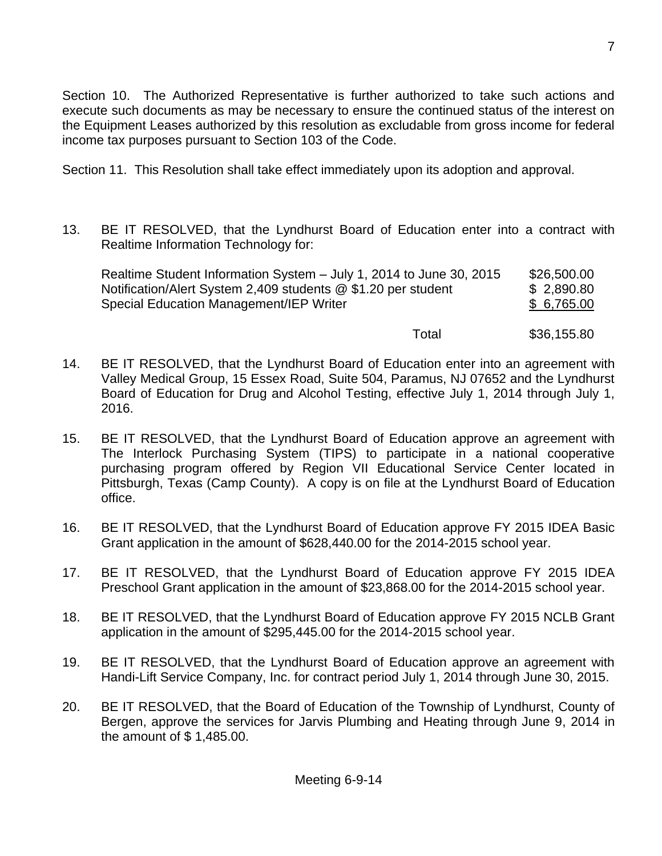Section 10. The Authorized Representative is further authorized to take such actions and execute such documents as may be necessary to ensure the continued status of the interest on the Equipment Leases authorized by this resolution as excludable from gross income for federal income tax purposes pursuant to Section 103 of the Code.

Section 11. This Resolution shall take effect immediately upon its adoption and approval.

13. BE IT RESOLVED, that the Lyndhurst Board of Education enter into a contract with Realtime Information Technology for:

| Realtime Student Information System - July 1, 2014 to June 30, 2015 | \$26,500.00 |
|---------------------------------------------------------------------|-------------|
| Notification/Alert System 2,409 students @ \$1.20 per student       | \$2,890.80  |
| <b>Special Education Management/IEP Writer</b>                      | \$ 6,765.00 |
|                                                                     |             |

Total \$36,155.80

- 14. BE IT RESOLVED, that the Lyndhurst Board of Education enter into an agreement with Valley Medical Group, 15 Essex Road, Suite 504, Paramus, NJ 07652 and the Lyndhurst Board of Education for Drug and Alcohol Testing, effective July 1, 2014 through July 1, 2016.
- 15. BE IT RESOLVED, that the Lyndhurst Board of Education approve an agreement with The Interlock Purchasing System (TIPS) to participate in a national cooperative purchasing program offered by Region VII Educational Service Center located in Pittsburgh, Texas (Camp County). A copy is on file at the Lyndhurst Board of Education office.
- 16. BE IT RESOLVED, that the Lyndhurst Board of Education approve FY 2015 IDEA Basic Grant application in the amount of \$628,440.00 for the 2014-2015 school year.
- 17. BE IT RESOLVED, that the Lyndhurst Board of Education approve FY 2015 IDEA Preschool Grant application in the amount of \$23,868.00 for the 2014-2015 school year.
- 18. BE IT RESOLVED, that the Lyndhurst Board of Education approve FY 2015 NCLB Grant application in the amount of \$295,445.00 for the 2014-2015 school year.
- 19. BE IT RESOLVED, that the Lyndhurst Board of Education approve an agreement with Handi-Lift Service Company, Inc. for contract period July 1, 2014 through June 30, 2015.
- 20. BE IT RESOLVED, that the Board of Education of the Township of Lyndhurst, County of Bergen, approve the services for Jarvis Plumbing and Heating through June 9, 2014 in the amount of \$ 1,485.00.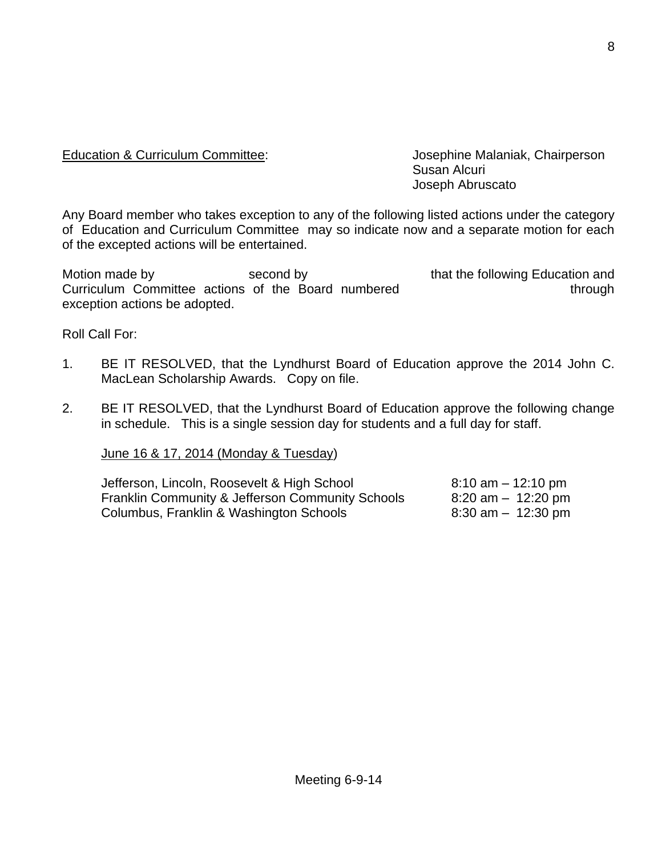### Education & Curriculum Committee: Josephine Malaniak, Chairperson

Susan Alcuri Joseph Abruscato

Any Board member who takes exception to any of the following listed actions under the category of Education and Curriculum Committee may so indicate now and a separate motion for each of the excepted actions will be entertained.

Motion made by second by second by that the following Education and Curriculum Committee actions of the Board numbered through through exception actions be adopted.

Roll Call For:

- 1. BE IT RESOLVED, that the Lyndhurst Board of Education approve the 2014 John C. MacLean Scholarship Awards. Copy on file.
- 2. BE IT RESOLVED, that the Lyndhurst Board of Education approve the following change in schedule. This is a single session day for students and a full day for staff.

## June 16 & 17, 2014 (Monday & Tuesday)

Jefferson, Lincoln, Roosevelt & High School 8:10 am – 12:10 pm Franklin Community & Jefferson Community Schools 8:20 am - 12:20 pm Columbus, Franklin & Washington Schools 6:30 am – 12:30 pm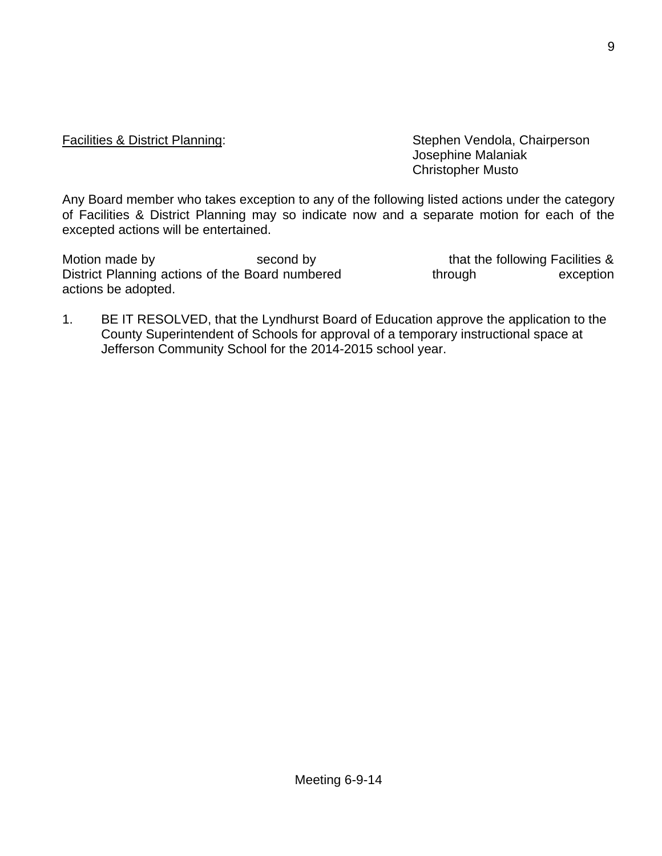**Facilities & District Planning:** The Stephen Vendola, Chairperson Josephine Malaniak Christopher Musto

Any Board member who takes exception to any of the following listed actions under the category of Facilities & District Planning may so indicate now and a separate motion for each of the excepted actions will be entertained.

Motion made by The Second by Second by that the following Facilities & District Planning actions of the Board numbered through through exception actions be adopted.

1. BE IT RESOLVED, that the Lyndhurst Board of Education approve the application to the County Superintendent of Schools for approval of a temporary instructional space at Jefferson Community School for the 2014-2015 school year.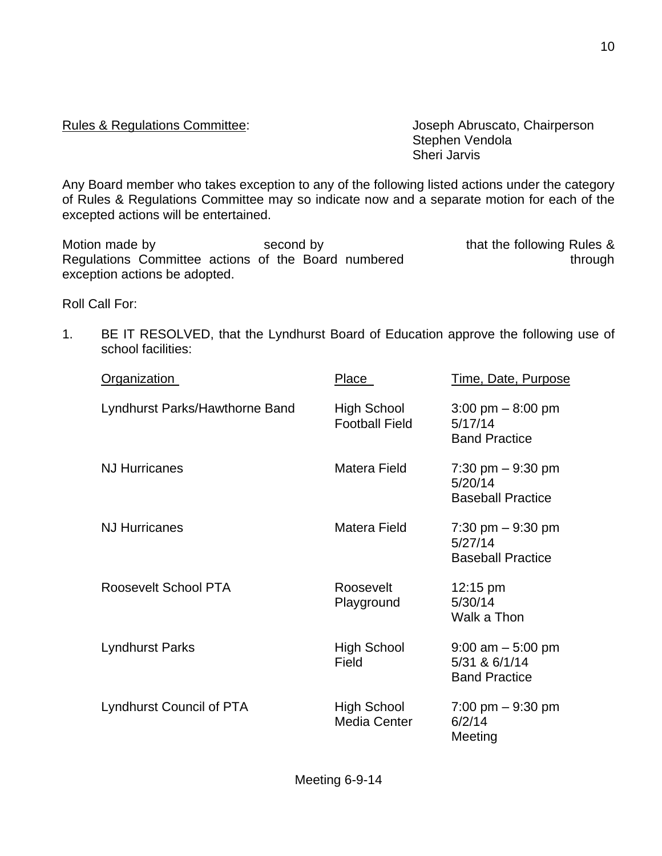#### Rules & Regulations Committee: Joseph Abruscato, Chairperson

Stephen Vendola Sheri Jarvis

Any Board member who takes exception to any of the following listed actions under the category of Rules & Regulations Committee may so indicate now and a separate motion for each of the excepted actions will be entertained.

Motion made by Second by Second by that the following Rules & Regulations Committee actions of the Board numbered through exception actions be adopted.

Roll Call For:

1. BE IT RESOLVED, that the Lyndhurst Board of Education approve the following use of school facilities:

| <b>Organization</b>            | Place                                | <u>Time, Date, Purpose</u>                                             |
|--------------------------------|--------------------------------------|------------------------------------------------------------------------|
| Lyndhurst Parks/Hawthorne Band | High School<br><b>Football Field</b> | $3:00 \text{ pm} - 8:00 \text{ pm}$<br>5/17/14<br><b>Band Practice</b> |
| <b>NJ Hurricanes</b>           | Matera Field                         | 7:30 pm $-9:30$ pm<br>5/20/14<br><b>Baseball Practice</b>              |
| <b>NJ Hurricanes</b>           | Matera Field                         | 7:30 pm $-9:30$ pm<br>5/27/14<br><b>Baseball Practice</b>              |
| <b>Roosevelt School PTA</b>    | Roosevelt<br>Playground              | $12:15 \text{ pm}$<br>5/30/14<br>Walk a Thon                           |
| <b>Lyndhurst Parks</b>         | <b>High School</b><br>Field          | $9:00$ am $-5:00$ pm<br>5/31 & 6/1/14<br><b>Band Practice</b>          |
| Lyndhurst Council of PTA       | High School<br><b>Media Center</b>   | $7:00 \text{ pm} - 9:30 \text{ pm}$<br>6/2/14<br>Meeting               |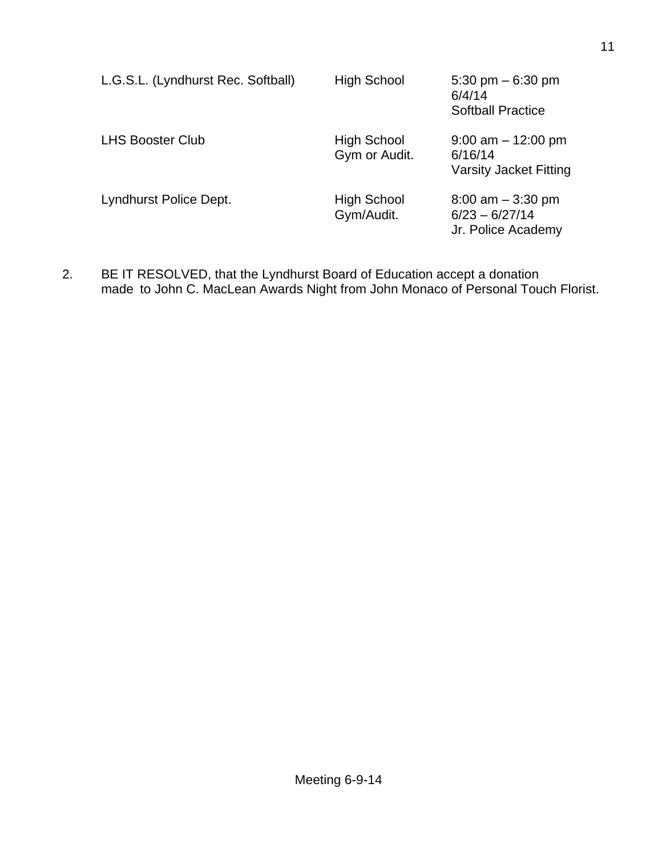| L.G.S.L. (Lyndhurst Rec. Softball) | <b>High School</b>               | 5:30 pm $-6:30$ pm<br>6/4/14<br><b>Softball Practice</b>          |
|------------------------------------|----------------------------------|-------------------------------------------------------------------|
| <b>LHS Booster Club</b>            | High School<br>Gym or Audit.     | $9:00$ am $-12:00$ pm<br>6/16/14<br><b>Varsity Jacket Fitting</b> |
| Lyndhurst Police Dept.             | <b>High School</b><br>Gym/Audit. | $8:00$ am $-3:30$ pm<br>$6/23 - 6/27/14$<br>Jr. Police Academy    |

2. BE IT RESOLVED, that the Lyndhurst Board of Education accept a donation made to John C. MacLean Awards Night from John Monaco of Personal Touch Florist.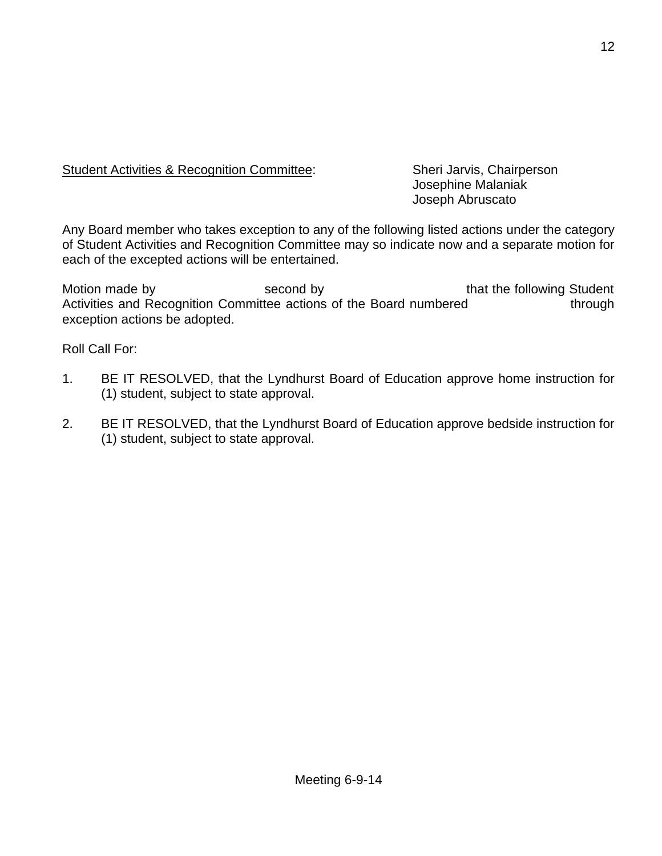#### Student Activities & Recognition Committee: Sheri Jarvis, Chairperson

Josephine Malaniak Joseph Abruscato

Any Board member who takes exception to any of the following listed actions under the category of Student Activities and Recognition Committee may so indicate now and a separate motion for each of the excepted actions will be entertained.

Motion made by The Second by Second by that the following Student Activities and Recognition Committee actions of the Board numbered through exception actions be adopted.

Roll Call For:

- 1. BE IT RESOLVED, that the Lyndhurst Board of Education approve home instruction for (1) student, subject to state approval.
- 2. BE IT RESOLVED, that the Lyndhurst Board of Education approve bedside instruction for (1) student, subject to state approval.